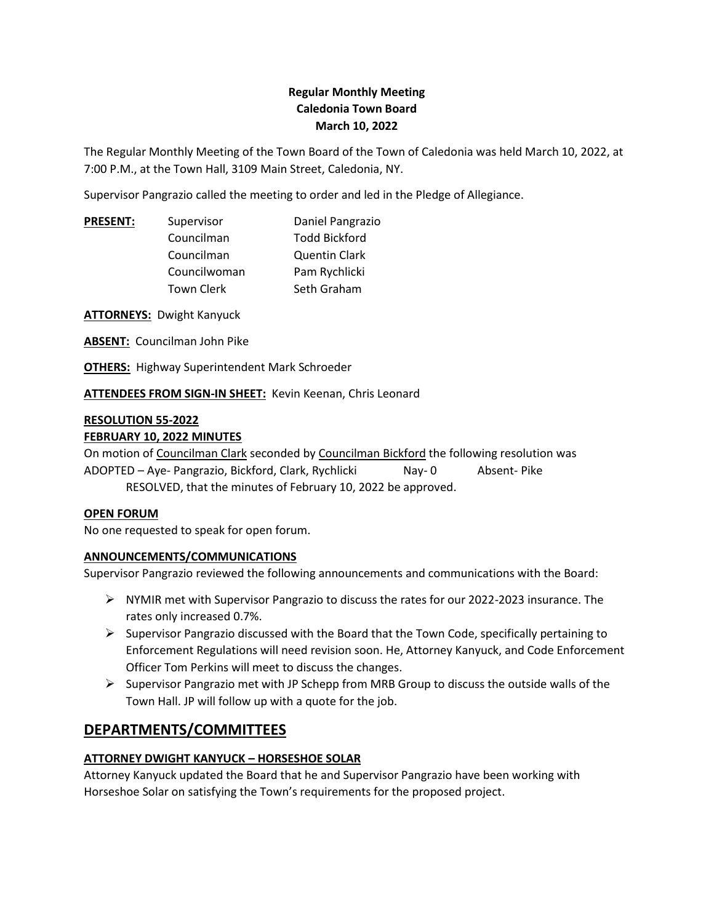## **Regular Monthly Meeting Caledonia Town Board March 10, 2022**

The Regular Monthly Meeting of the Town Board of the Town of Caledonia was held March 10, 2022, at 7:00 P.M., at the Town Hall, 3109 Main Street, Caledonia, NY.

Supervisor Pangrazio called the meeting to order and led in the Pledge of Allegiance.

| <b>PRESENT:</b> | Supervisor        | Daniel Pangrazio     |  |
|-----------------|-------------------|----------------------|--|
|                 | Councilman        | <b>Todd Bickford</b> |  |
|                 | Councilman        | <b>Quentin Clark</b> |  |
|                 | Councilwoman      | Pam Rychlicki        |  |
|                 | <b>Town Clerk</b> | Seth Graham          |  |
|                 |                   |                      |  |

**ATTORNEYS:** Dwight Kanyuck

**ABSENT:** Councilman John Pike

**OTHERS:** Highway Superintendent Mark Schroeder

**ATTENDEES FROM SIGN-IN SHEET:** Kevin Keenan, Chris Leonard

#### **RESOLUTION 55-2022 FEBRUARY 10, 2022 MINUTES**

On motion of Councilman Clark seconded by Councilman Bickford the following resolution was ADOPTED – Aye- Pangrazio, Bickford, Clark, Rychlicki Nay- 0 Absent- Pike RESOLVED, that the minutes of February 10, 2022 be approved.

## **OPEN FORUM**

No one requested to speak for open forum.

## **ANNOUNCEMENTS/COMMUNICATIONS**

Supervisor Pangrazio reviewed the following announcements and communications with the Board:

- ➢ NYMIR met with Supervisor Pangrazio to discuss the rates for our 2022-2023 insurance. The rates only increased 0.7%.
- $\triangleright$  Supervisor Pangrazio discussed with the Board that the Town Code, specifically pertaining to Enforcement Regulations will need revision soon. He, Attorney Kanyuck, and Code Enforcement Officer Tom Perkins will meet to discuss the changes.
- $\triangleright$  Supervisor Pangrazio met with JP Schepp from MRB Group to discuss the outside walls of the Town Hall. JP will follow up with a quote for the job.

# **DEPARTMENTS/COMMITTEES**

## **ATTORNEY DWIGHT KANYUCK – HORSESHOE SOLAR**

Attorney Kanyuck updated the Board that he and Supervisor Pangrazio have been working with Horseshoe Solar on satisfying the Town's requirements for the proposed project.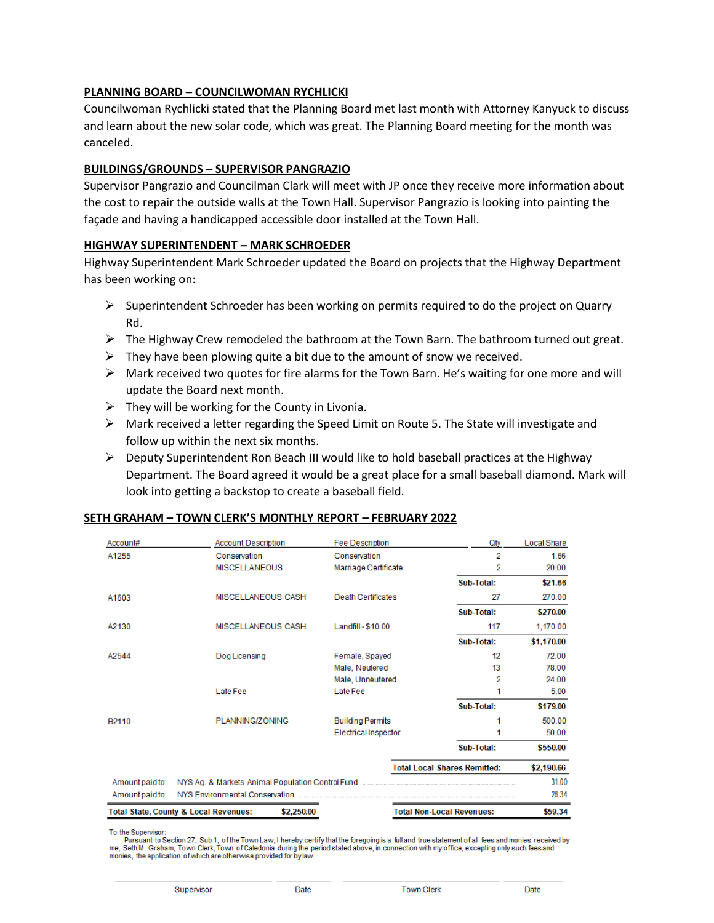## **PLANNING BOARD – COUNCILWOMAN RYCHLICKI**

Councilwoman Rychlicki stated that the Planning Board met last month with Attorney Kanyuck to discuss and learn about the new solar code, which was great. The Planning Board meeting for the month was canceled.

## **BUILDINGS/GROUNDS – SUPERVISOR PANGRAZIO**

Supervisor Pangrazio and Councilman Clark will meet with JP once they receive more information about the cost to repair the outside walls at the Town Hall. Supervisor Pangrazio is looking into painting the façade and having a handicapped accessible door installed at the Town Hall.

## **HIGHWAY SUPERINTENDENT – MARK SCHROEDER**

Highway Superintendent Mark Schroeder updated the Board on projects that the Highway Department has been working on:

- $\triangleright$  Superintendent Schroeder has been working on permits required to do the project on Quarry Rd.
- ➢ The Highway Crew remodeled the bathroom at the Town Barn. The bathroom turned out great.
- $\triangleright$  They have been plowing quite a bit due to the amount of snow we received.
- $\triangleright$  Mark received two quotes for fire alarms for the Town Barn. He's waiting for one more and will update the Board next month.
- $\triangleright$  They will be working for the County in Livonia.
- $\triangleright$  Mark received a letter regarding the Speed Limit on Route 5. The State will investigate and follow up within the next six months.
- $\triangleright$  Deputy Superintendent Ron Beach III would like to hold baseball practices at the Highway Department. The Board agreed it would be a great place for a small baseball diamond. Mark will look into getting a backstop to create a baseball field.

#### **SETH GRAHAM – TOWN CLERK'S MONTHLY REPORT – FEBRUARY 2022**

| Account#                                                                                           | <b>Account Description</b> | <b>Fee Description</b>      | Qtv                                 | <b>Local Share</b> |
|----------------------------------------------------------------------------------------------------|----------------------------|-----------------------------|-------------------------------------|--------------------|
| A1255                                                                                              | Conservation               | Conservation                | 2                                   | 1.66               |
|                                                                                                    | <b>MISCELLANEOUS</b>       | Marriage Certificate        | 2                                   | 20.00              |
|                                                                                                    |                            |                             | Sub-Total:                          | \$21.66            |
| A1603                                                                                              | <b>MISCELLANEOUS CASH</b>  | <b>Death Certificates</b>   | 27                                  | 270.00             |
|                                                                                                    |                            |                             | Sub-Total:                          | \$270.00           |
| A2130                                                                                              | <b>MISCELLANEOUS CASH</b>  | Landfill - \$10.00          | 117                                 | 1,170.00           |
|                                                                                                    |                            |                             | Sub-Total:                          | \$1,170.00         |
| A2544                                                                                              | Dog Licensing              | Female, Spayed              | 12                                  | 72.00              |
|                                                                                                    |                            | Male, Neutered              | 13                                  | 78.00              |
|                                                                                                    |                            | Male, Unneutered            | 2                                   | 24.00              |
|                                                                                                    | Late Fee                   | Late Fee                    | 1                                   | 5.00               |
|                                                                                                    |                            |                             | Sub-Total:                          | \$179.00           |
| PLANNING/ZONING<br><b>Building Permits</b><br>B <sub>2110</sub>                                    |                            |                             | 1                                   | 500.00             |
|                                                                                                    |                            | <b>Electrical Inspector</b> | 1                                   | 50.00              |
|                                                                                                    |                            |                             | Sub-Total:                          | \$550.00           |
|                                                                                                    |                            |                             | <b>Total Local Shares Remitted:</b> | \$2,190.66         |
| Amount paid to:                                                                                    |                            |                             |                                     | 31.00              |
| Amount paid to:                                                                                    |                            |                             |                                     | 28.34              |
| <b>Total Non-Local Revenues:</b><br><b>Total State, County &amp; Local Revenues:</b><br>\$2,250.00 |                            |                             |                                     |                    |

To the Supervisor:

To the Supervisor.<br>Pursuant to Section 27, Sub 1, of the Town Law, I hereby certify that the foregoing is a full and true statement of all fees and monies received by<br>me, Seth M. Graham, Town Clerk, Town of Caledonia durin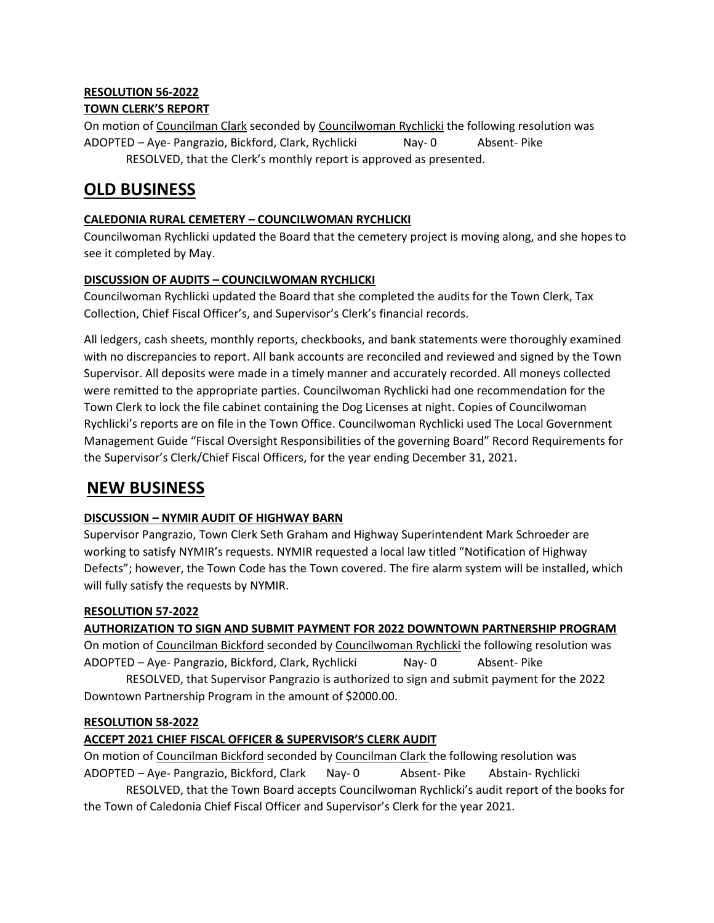# **RESOLUTION 56-2022**

## **TOWN CLERK'S REPORT**

On motion of Councilman Clark seconded by Councilwoman Rychlicki the following resolution was ADOPTED – Aye- Pangrazio, Bickford, Clark, Rychlicki Nay- 0 Absent- Pike RESOLVED, that the Clerk's monthly report is approved as presented.

# **OLD BUSINESS**

## **CALEDONIA RURAL CEMETERY – COUNCILWOMAN RYCHLICKI**

Councilwoman Rychlicki updated the Board that the cemetery project is moving along, and she hopes to see it completed by May.

## **DISCUSSION OF AUDITS – COUNCILWOMAN RYCHLICKI**

Councilwoman Rychlicki updated the Board that she completed the audits for the Town Clerk, Tax Collection, Chief Fiscal Officer's, and Supervisor's Clerk's financial records.

All ledgers, cash sheets, monthly reports, checkbooks, and bank statements were thoroughly examined with no discrepancies to report. All bank accounts are reconciled and reviewed and signed by the Town Supervisor. All deposits were made in a timely manner and accurately recorded. All moneys collected were remitted to the appropriate parties. Councilwoman Rychlicki had one recommendation for the Town Clerk to lock the file cabinet containing the Dog Licenses at night. Copies of Councilwoman Rychlicki's reports are on file in the Town Office. Councilwoman Rychlicki used The Local Government Management Guide "Fiscal Oversight Responsibilities of the governing Board" Record Requirements for the Supervisor's Clerk/Chief Fiscal Officers, for the year ending December 31, 2021.

# **NEW BUSINESS**

# **DISCUSSION – NYMIR AUDIT OF HIGHWAY BARN**

Supervisor Pangrazio, Town Clerk Seth Graham and Highway Superintendent Mark Schroeder are working to satisfy NYMIR's requests. NYMIR requested a local law titled "Notification of Highway Defects"; however, the Town Code has the Town covered. The fire alarm system will be installed, which will fully satisfy the requests by NYMIR.

# **RESOLUTION 57-2022**

# **AUTHORIZATION TO SIGN AND SUBMIT PAYMENT FOR 2022 DOWNTOWN PARTNERSHIP PROGRAM**

On motion of Councilman Bickford seconded by Councilwoman Rychlicki the following resolution was ADOPTED – Aye- Pangrazio, Bickford, Clark, Rychlicki Nay- 0 Absent- Pike

RESOLVED, that Supervisor Pangrazio is authorized to sign and submit payment for the 2022 Downtown Partnership Program in the amount of \$2000.00.

## **RESOLUTION 58-2022**

# **ACCEPT 2021 CHIEF FISCAL OFFICER & SUPERVISOR'S CLERK AUDIT**

On motion of Councilman Bickford seconded by Councilman Clark the following resolution was ADOPTED – Aye- Pangrazio, Bickford, Clark Nay- 0 Absent- Pike Abstain- Rychlicki RESOLVED, that the Town Board accepts Councilwoman Rychlicki's audit report of the books for the Town of Caledonia Chief Fiscal Officer and Supervisor's Clerk for the year 2021.